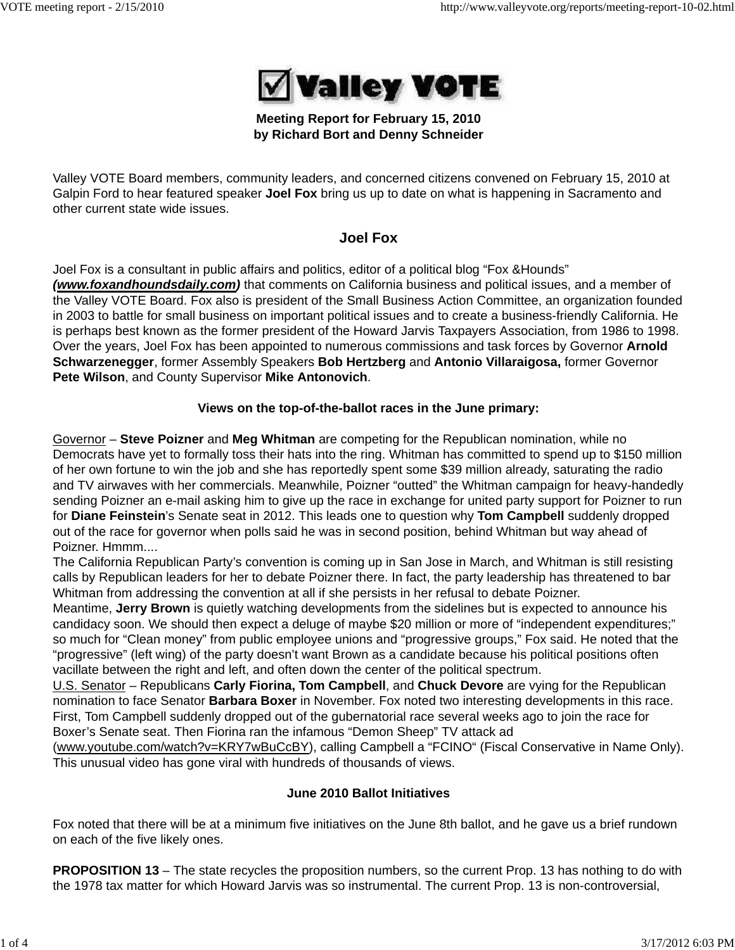

## **Meeting Report for February 15, 2010 by Richard Bort and Denny Schneider**

Valley VOTE Board members, community leaders, and concerned citizens convened on February 15, 2010 at Galpin Ford to hear featured speaker **Joel Fox** bring us up to date on what is happening in Sacramento and other current state wide issues.

# **Joel Fox**

Joel Fox is a consultant in public affairs and politics, editor of a political blog "Fox &Hounds" *(www.foxandhoundsdaily.com)* that comments on California business and political issues, and a member of the Valley VOTE Board. Fox also is president of the Small Business Action Committee, an organization founded in 2003 to battle for small business on important political issues and to create a business-friendly California. He is perhaps best known as the former president of the Howard Jarvis Taxpayers Association, from 1986 to 1998. Over the years, Joel Fox has been appointed to numerous commissions and task forces by Governor **Arnold Schwarzenegger**, former Assembly Speakers **Bob Hertzberg** and **Antonio Villaraigosa,** former Governor

**Pete Wilson**, and County Supervisor **Mike Antonovich**.

## **Views on the top-of-the-ballot races in the June primary:**

Governor – **Steve Poizner** and **Meg Whitman** are competing for the Republican nomination, while no Democrats have yet to formally toss their hats into the ring. Whitman has committed to spend up to \$150 million of her own fortune to win the job and she has reportedly spent some \$39 million already, saturating the radio and TV airwaves with her commercials. Meanwhile, Poizner "outted" the Whitman campaign for heavy-handedly sending Poizner an e-mail asking him to give up the race in exchange for united party support for Poizner to run for **Diane Feinstein**'s Senate seat in 2012. This leads one to question why **Tom Campbell** suddenly dropped out of the race for governor when polls said he was in second position, behind Whitman but way ahead of Poizner. Hmmm....

The California Republican Party's convention is coming up in San Jose in March, and Whitman is still resisting calls by Republican leaders for her to debate Poizner there. In fact, the party leadership has threatened to bar Whitman from addressing the convention at all if she persists in her refusal to debate Poizner.

Meantime, **Jerry Brown** is quietly watching developments from the sidelines but is expected to announce his candidacy soon. We should then expect a deluge of maybe \$20 million or more of "independent expenditures;" so much for "Clean money" from public employee unions and "progressive groups," Fox said. He noted that the "progressive" (left wing) of the party doesn't want Brown as a candidate because his political positions often vacillate between the right and left, and often down the center of the political spectrum.

U.S. Senator – Republicans **Carly Fiorina, Tom Campbell**, and **Chuck Devore** are vying for the Republican nomination to face Senator **Barbara Boxer** in November. Fox noted two interesting developments in this race. First, Tom Campbell suddenly dropped out of the gubernatorial race several weeks ago to join the race for Boxer's Senate seat. Then Fiorina ran the infamous "Demon Sheep" TV attack ad

(www.youtube.com/watch?v=KRY7wBuCcBY), calling Campbell a "FCINO" (Fiscal Conservative in Name Only). This unusual video has gone viral with hundreds of thousands of views.

## **June 2010 Ballot Initiatives**

Fox noted that there will be at a minimum five initiatives on the June 8th ballot, and he gave us a brief rundown on each of the five likely ones.

**PROPOSITION 13** – The state recycles the proposition numbers, so the current Prop. 13 has nothing to do with the 1978 tax matter for which Howard Jarvis was so instrumental. The current Prop. 13 is non-controversial,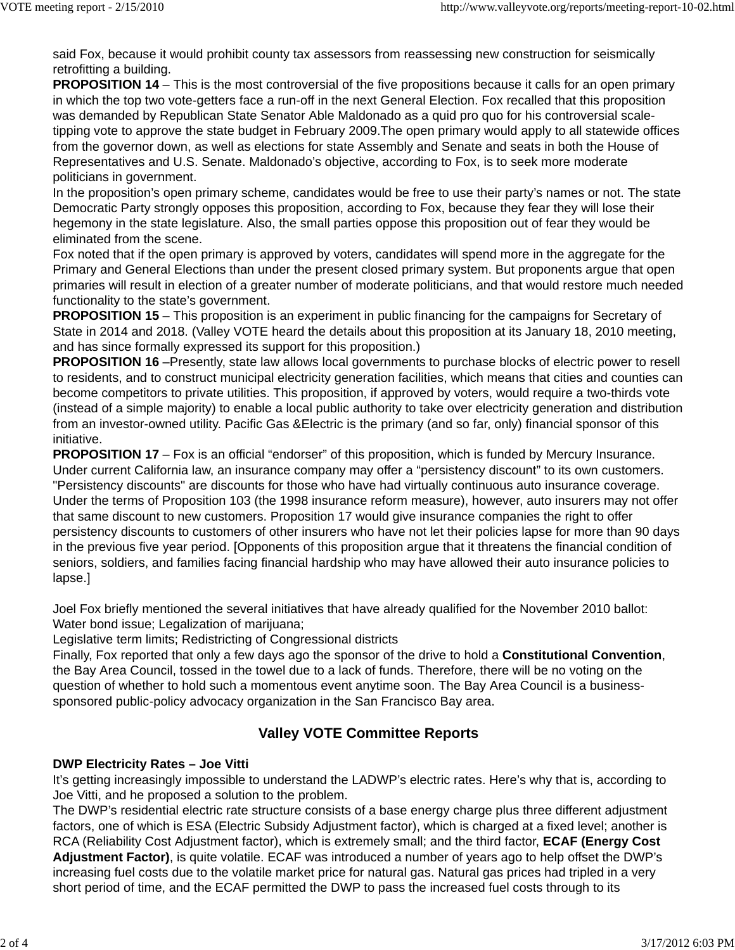said Fox, because it would prohibit county tax assessors from reassessing new construction for seismically retrofitting a building.

**PROPOSITION 14** – This is the most controversial of the five propositions because it calls for an open primary in which the top two vote-getters face a run-off in the next General Election. Fox recalled that this proposition was demanded by Republican State Senator Able Maldonado as a quid pro quo for his controversial scaletipping vote to approve the state budget in February 2009.The open primary would apply to all statewide offices from the governor down, as well as elections for state Assembly and Senate and seats in both the House of Representatives and U.S. Senate. Maldonado's objective, according to Fox, is to seek more moderate politicians in government.

In the proposition's open primary scheme, candidates would be free to use their party's names or not. The state Democratic Party strongly opposes this proposition, according to Fox, because they fear they will lose their hegemony in the state legislature. Also, the small parties oppose this proposition out of fear they would be eliminated from the scene.

Fox noted that if the open primary is approved by voters, candidates will spend more in the aggregate for the Primary and General Elections than under the present closed primary system. But proponents argue that open primaries will result in election of a greater number of moderate politicians, and that would restore much needed functionality to the state's government.

**PROPOSITION 15** – This proposition is an experiment in public financing for the campaigns for Secretary of State in 2014 and 2018. (Valley VOTE heard the details about this proposition at its January 18, 2010 meeting, and has since formally expressed its support for this proposition.)

**PROPOSITION 16** –Presently, state law allows local governments to purchase blocks of electric power to resell to residents, and to construct municipal electricity generation facilities, which means that cities and counties can become competitors to private utilities. This proposition, if approved by voters, would require a two-thirds vote (instead of a simple majority) to enable a local public authority to take over electricity generation and distribution from an investor-owned utility. Pacific Gas &Electric is the primary (and so far, only) financial sponsor of this initiative.

**PROPOSITION 17** – Fox is an official "endorser" of this proposition, which is funded by Mercury Insurance. Under current California law, an insurance company may offer a "persistency discount" to its own customers. "Persistency discounts" are discounts for those who have had virtually continuous auto insurance coverage. Under the terms of Proposition 103 (the 1998 insurance reform measure), however, auto insurers may not offer that same discount to new customers. Proposition 17 would give insurance companies the right to offer persistency discounts to customers of other insurers who have not let their policies lapse for more than 90 days in the previous five year period. [Opponents of this proposition argue that it threatens the financial condition of seniors, soldiers, and families facing financial hardship who may have allowed their auto insurance policies to lapse.]

Joel Fox briefly mentioned the several initiatives that have already qualified for the November 2010 ballot: Water bond issue; Legalization of marijuana;

Legislative term limits; Redistricting of Congressional districts

Finally, Fox reported that only a few days ago the sponsor of the drive to hold a **Constitutional Convention**, the Bay Area Council, tossed in the towel due to a lack of funds. Therefore, there will be no voting on the question of whether to hold such a momentous event anytime soon. The Bay Area Council is a businesssponsored public-policy advocacy organization in the San Francisco Bay area.

# **Valley VOTE Committee Reports**

## **DWP Electricity Rates – Joe Vitti**

It's getting increasingly impossible to understand the LADWP's electric rates. Here's why that is, according to Joe Vitti, and he proposed a solution to the problem.

The DWP's residential electric rate structure consists of a base energy charge plus three different adjustment factors, one of which is ESA (Electric Subsidy Adjustment factor), which is charged at a fixed level; another is RCA (Reliability Cost Adjustment factor), which is extremely small; and the third factor, **ECAF (Energy Cost Adjustment Factor)**, is quite volatile. ECAF was introduced a number of years ago to help offset the DWP's increasing fuel costs due to the volatile market price for natural gas. Natural gas prices had tripled in a very short period of time, and the ECAF permitted the DWP to pass the increased fuel costs through to its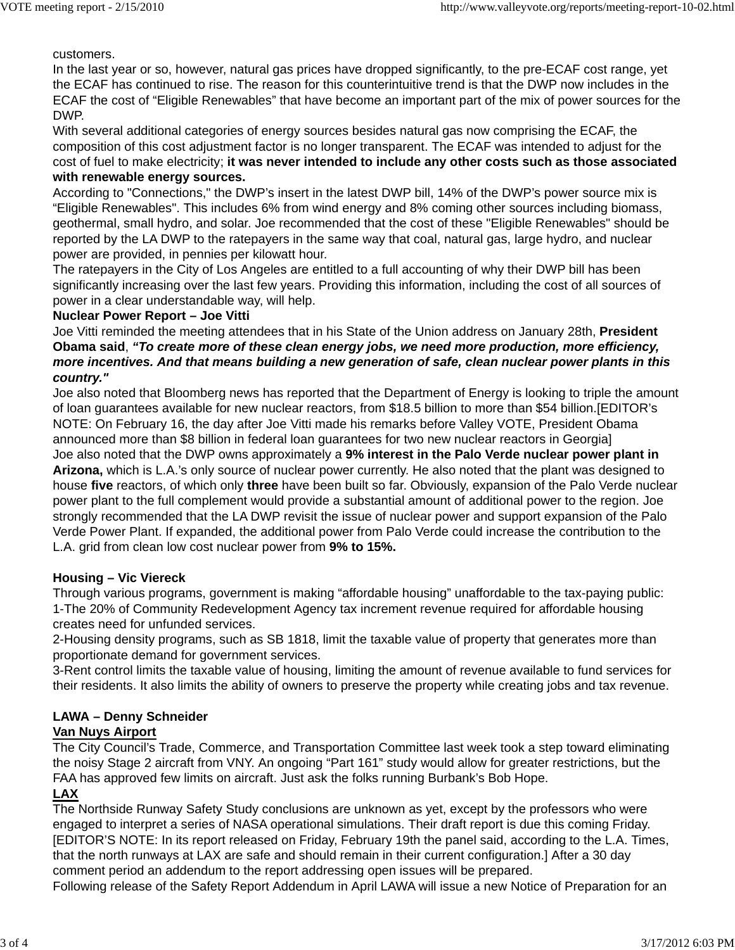customers.

In the last year or so, however, natural gas prices have dropped significantly, to the pre-ECAF cost range, yet the ECAF has continued to rise. The reason for this counterintuitive trend is that the DWP now includes in the ECAF the cost of "Eligible Renewables" that have become an important part of the mix of power sources for the DWP.

With several additional categories of energy sources besides natural gas now comprising the ECAF, the composition of this cost adjustment factor is no longer transparent. The ECAF was intended to adjust for the cost of fuel to make electricity; **it was never intended to include any other costs such as those associated with renewable energy sources.**

According to "Connections," the DWP's insert in the latest DWP bill, 14% of the DWP's power source mix is "Eligible Renewables". This includes 6% from wind energy and 8% coming other sources including biomass, geothermal, small hydro, and solar. Joe recommended that the cost of these "Eligible Renewables" should be reported by the LA DWP to the ratepayers in the same way that coal, natural gas, large hydro, and nuclear power are provided, in pennies per kilowatt hour.

The ratepayers in the City of Los Angeles are entitled to a full accounting of why their DWP bill has been significantly increasing over the last few years. Providing this information, including the cost of all sources of power in a clear understandable way, will help.

#### **Nuclear Power Report – Joe Vitti**

Joe Vitti reminded the meeting attendees that in his State of the Union address on January 28th, **President Obama said**, *"To create more of these clean energy jobs, we need more production, more efficiency, more incentives. And that means building a new generation of safe, clean nuclear power plants in this country."*

Joe also noted that Bloomberg news has reported that the Department of Energy is looking to triple the amount of loan guarantees available for new nuclear reactors, from \$18.5 billion to more than \$54 billion.[EDITOR's NOTE: On February 16, the day after Joe Vitti made his remarks before Valley VOTE, President Obama announced more than \$8 billion in federal loan guarantees for two new nuclear reactors in Georgia] Joe also noted that the DWP owns approximately a **9% interest in the Palo Verde nuclear power plant in Arizona,** which is L.A.'s only source of nuclear power currently. He also noted that the plant was designed to house **five** reactors, of which only **three** have been built so far. Obviously, expansion of the Palo Verde nuclear power plant to the full complement would provide a substantial amount of additional power to the region. Joe strongly recommended that the LA DWP revisit the issue of nuclear power and support expansion of the Palo Verde Power Plant. If expanded, the additional power from Palo Verde could increase the contribution to the L.A. grid from clean low cost nuclear power from **9% to 15%.**

## **Housing – Vic Viereck**

Through various programs, government is making "affordable housing" unaffordable to the tax-paying public: 1-The 20% of Community Redevelopment Agency tax increment revenue required for affordable housing creates need for unfunded services.

2-Housing density programs, such as SB 1818, limit the taxable value of property that generates more than proportionate demand for government services.

3-Rent control limits the taxable value of housing, limiting the amount of revenue available to fund services for their residents. It also limits the ability of owners to preserve the property while creating jobs and tax revenue.

# **LAWA – Denny Schneider**

## **Van Nuys Airport**

The City Council's Trade, Commerce, and Transportation Committee last week took a step toward eliminating the noisy Stage 2 aircraft from VNY. An ongoing "Part 161" study would allow for greater restrictions, but the FAA has approved few limits on aircraft. Just ask the folks running Burbank's Bob Hope.

# **LAX**

The Northside Runway Safety Study conclusions are unknown as yet, except by the professors who were engaged to interpret a series of NASA operational simulations. Their draft report is due this coming Friday. [EDITOR'S NOTE: In its report released on Friday, February 19th the panel said, according to the L.A. Times, that the north runways at LAX are safe and should remain in their current configuration.] After a 30 day comment period an addendum to the report addressing open issues will be prepared.

Following release of the Safety Report Addendum in April LAWA will issue a new Notice of Preparation for an